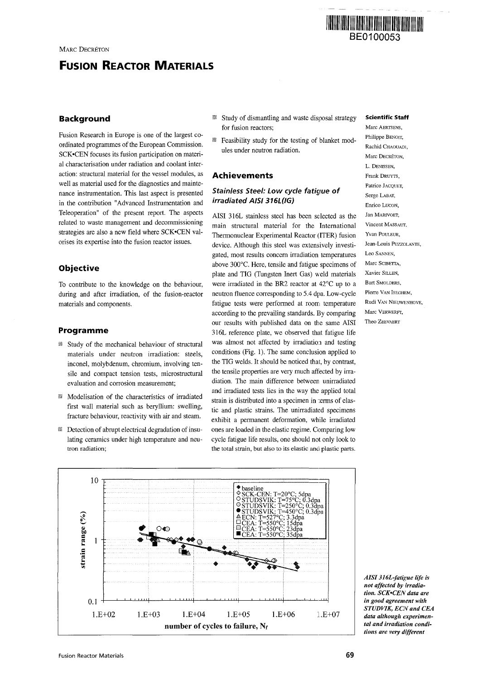# **FUSION REACTOR MATERIALS**

# **Background**

Fusion Research in Europe is one of the largest coordinated programmes of the European Commission. SCK»CEN focuses its fusion participation on material characterisation under radiation and coolant interaction: structural material for the vessel modules, as well as material used for the diagnostics and maintenance instrumentation. This last aspect is presented in the contribution "Advanced Instrumentation and Teleoperation" of the present report. The aspects related to waste management and decommissioning strategies are also a new field where SCK.CEN valorises its expertise into the fusion reactor issues.

# **Objective**

To contribute to the knowledge on the behaviour, during and after irradiation, of the fusion-reactor materials and components.

## **Programme**

- **Study of the mechanical behaviour of structural** materials under neutron irradiation: steels, inconel, molybdenum, chromium, involving tensile and compact tension tests, microstructural evaluation and corrosion measurement;
- 88 Modelisation of the characteristics of irradiated first wall material such as beryllium: swelling, fracture behaviour, reactivity with air and steam.
- $\mathbb B$  Detection of abrupt electrical degradation of insulating ceramics under high temperature and neutron radiation;
- Study of dismantling and waste disposal strategy 抵 for fusion reactors;
- Feasibility study for the testing of blanket modules under neutron radiation.

#### **Achievements**

# Stainless Steel: Low cycle fatigue of irradiated AISI 316L(IG)

AISI 316L stainless steel has been selected as the main structural material for the International Thermonuclear Experimental Reactor (ITER) fusion device. Although this steel was extensively investigated, most results concern irradiation temperatures above 300°C. Here, tensile and fatigue specimens of plate and TIG (Tungsten Inert Gas) weld materials were irradiated in the BR2 reactor at 42°C up to a neutron fluence corresponding to 5.4 dpa. Low-cycle fatigue tests were performed at room temperature according to the prevailing standards. By comparing our results with published data on the same AISI 316L reference plate, we observed that fatigue life was almost not affected by irradiation and testing conditions (Fig. 1). The same conclusion applied to the TIG welds. It should be noticed that, by contrast, the tensile properties are very much affected by irradiation. The main difference between unirradiated and irradiated tests lies in the way the applied total strain is distributed into a specimen in terms of elastic and plastic strains. The unirradiated specimens exhibit a permanent deformation, while irradiated ones are loaded in the elastic regime. Comparing low cycle fatigue life results, one should not only look to the total strain, but also to its elastic and plastic parts.

#### **Scientific Staff**

BE0100053

**THE REAL PROPERTY OF A REAL PROPERTY** 

Marc AERTSENS, Philippe BENOIT, Rachid CHAOUADI, Marc DECRÉTON, L. DENISSEN, Frank DRUYTS, Patrice JACQUET. Serge LABAT. Enrico LUCON, Jan MARIVOET, Vincent MASSAUT, Yvan POULEUR. Jean-Louis PUZZOLANTE, Leo SANNEN, Marc SCIBETTA, Xavier SILLEN Bart SMOLDERS, Pierre VAN ISEGHEM, Rudi VAN NIEUWENHOVE, Marc VERWERET Theo ZEEVAERT



*AISI 316L-fatigue life is not affected by irradiation. SCK'CEN data are in good agreement with STUDVIK, ECNand CEA data although experimental and irradiation conditions are very different*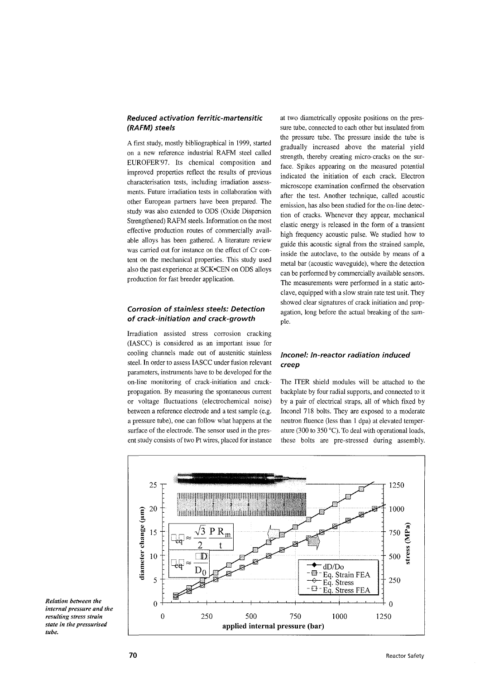# Reduced activation ferritic-martensitic (RAFM) steels

*A* first study, mostly bibliographical in 1999, started on a new reference industrial RAFM steel called EUROFER'97. Its chemical composition and improved properties reflect the results of previous characterisation tests, including irradiation assessments. Future irradiation tests in collaboration with other European partners have been prepared. The study was also extended to ODS (Oxide Dispersion Strengthened) RAFM steels. Information on the most effective production routes of commercially available alloys has been gathered. A literature review was carried out for instance on the effect of Cr content on the mechanical properties. This study used also the past experience at SCK'CEN on ODS alloys production for fast breeder application.

# Corrosion of stainless steels: Detection of crack-initiation and crack-growth

Irradiation assisted stress corrosion cracking (IASCC) is considered as an important issue for cooling channels made out of austenitic stainless steel. In order to assess IASCC under fusion relevant parameters, instruments have to be developed for the on-line monitoring of crack-initiation and crackpropagation. By measuring the spontaneous current or voltage fluctuations (electrochemical noise) between a reference electrode and a test sample (e.g. a pressure tube), one can follow what happens at the surface of the electrode. The sensor used in the present study consists of two Pt wires, placed for instance at two diametrically opposite positions on the pressure tube, connected to each other but insulated from the pressure tube. The pressure inside the tube is gradually increased above the material yield strength, thereby creating micro-cracks on the surface. Spikes appearing on the measured potential indicated the initiation of each crack. Electron microscope examination confirmed the observation after the test. Another technique, called acoustic emission, has also been studied for the on-line detection of cracks. Whenever they appear, mechanical elastic energy is released in the form of a transient high frequency acoustic pulse. We studied how to guide this acoustic signal from the strained sample, inside the autoclave, to the outside by means of a metal bar (acoustic waveguide), where the detection can be performed by commercially available sensors. The measurements were performed in a static autoclave, equipped with a slow strain rate test unit. They showed clear signatures of crack initiation and propagation, long before the actual breaking of the sampie.

# Inconel: In-reactor radiation induced creep

The ITER shield modules will be attached to the backplate by four radial supports, and connected to it by a pair of electrical straps, all of which fixed by Inconel 718 bolts. They are exposed to a moderate neutron fluence (less than 1 dpa) at elevated temperature (300 to 350 °C). To deal with operational loads, these bolts are pre-stressed during assembly.



*Relation between the internal pressure and the resulting stress strain state in the pressurised*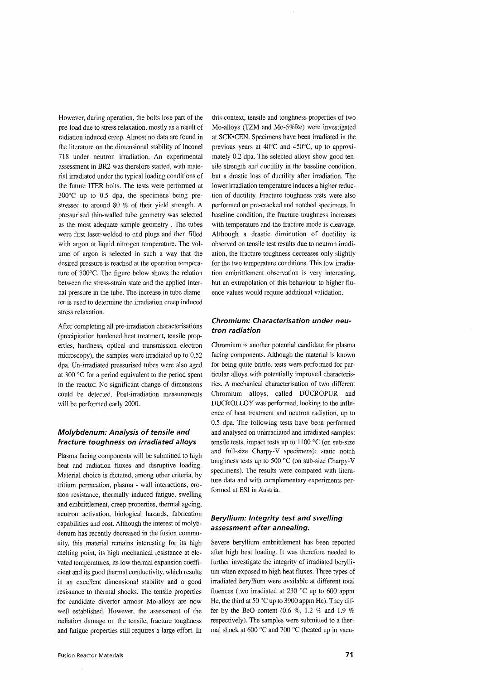However, during operation, the bolts lose part of the pre-load due to stress relaxation, mostly as a result of radiation induced creep. Almost no data are found in the literature on the dimensional stability of Inconel 718 under neutron irradiation. An experimental assessment in BR2 was therefore started, with material irradiated under the typical loading conditions of the future ITER bolts. The tests were performed at 300°C up to 0.5 dpa, the specimens being prestressed to around 80 % of their yield strength. A pressurised thin-walled tube geometry was selected as the most adequate sample geometry . The tubes were first laser-welded to end plugs and then filled with argon at liquid nitrogen temperature. The volume of argon is selected in such a way that the desired pressure is reached at the operation temperature of 300°C. The figure below shows the relation between the stress-strain state and the applied internal pressure in the tube. The increase in tube diameter is used to determine the irradiation creep induced stress relaxation.

After completing all pre-irradiation characterisations (precipitation hardened heat treatment, tensile properties, hardness, optical and transmission electron microscopy), the samples were irradiated up to 0.52 dpa. Un-irradiated pressurised tubes were also aged at 300 °C for a period equivalent to the period spent in the reactor. No significant change of dimensions could be detected. Post-irradiation measurements will be performed early 2000.

# Molybdenum: Analysis of tensile and fracture toughness on irradiated alloys

Plasma facing components will be submitted to high heat and radiation fluxes and disruptive loading. Material choice is dictated, among other criteria, by tritium permeation, plasma - wall interactions, erosion resistance, thermally induced fatigue, swelling and embrittlement, creep properties, thermal ageing, neutron activation, biological hazards, fabrication capabilities and cost. Although the interest of molybdenum has recently decreased in the fusion community, this material remains interesting for its high melting point, its high mechanical resistance at elevated temperatures, its low thermal expansion coefficient and its good thermal conductivity, which results in an excellent dimensional stability and a good resistance to thermal shocks. The tensile properties for candidate divertor armour Mo-alloys are now well established. However, the assessment of the radiation damage on the tensile, fracture toughness and fatigue properties still requires a large effort. In

this context, tensile and toughness properties of two Mo-alloys (TZM and Mo-5%Re) were investigated at SCK'CEN. Specimens have been irradiated in the previous years at 40°C and 450°C, up to approximately 0.2 dpa. The selected alloys show good tensile strength and ductility in the baseline condition, but a drastic loss of ductility after irradiation. The lower irradiation temperature induces a higher reduction of ductility. Fracture toughness tests were also performed on pre-cracked and notched specimens. In baseline condition, the fracture toughness increases with temperature and the fracture mode is cleavage. Although a drastic diminution of ductility is observed on tensile test results due to neutron irradiation, the fracture toughness decreases only slightly for the two temperature conditions. This low irradiation embrittlement observation is very interesting, but an extrapolation of this behaviour to higher fluence values would require additional validation.

# Chromium: Characterisation under neutron radiation

Chromium is another potential candidate for plasma facing components. Although the material is known for being quite brittle, tests were performed for particular alloys with potentially improved characteristics. A mechanical characterisation of two different Chromium alloys, called DUCROPUR and DUCROLLOY was performed, looking to the influence of heat treatment and neutron radiation, up to 0.5 dpa. The following tests have been performed and analysed on unirradiated and irradiated samples: tensile tests, impact tests up to  $1100 \degree C$  (on sub-size and full-size Charpy-V specimens); static notch toughness tests up to 500 °C (on sub-size Charpy-V specimens). The results were compared with literature data and with complementary experiments performed at ESI in Austria.

# Beryllium: Integrity test and swelling assessment after annealing.

Severe beryllium embrittlement has been reported after high heat loading. It was therefore needed to further investigate the integrity of irradiated beryllium when exposed to high heat fluxes. Three types of irradiated beryllium were available at different total fluences (two irradiated at 230 °C up to 600 appm He, the third at 50 °C up to 3900 appm He). They differ by the BeO content (0.6 %, 1.2 *%* and 1.9 % respectively). The samples were submitted to a thermal shock at 600 °C and 700 °C (heated up in vacu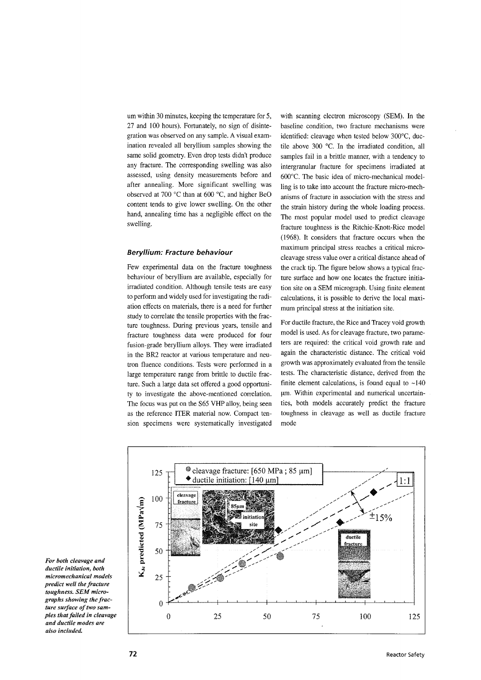um within 30 minutes, keeping the temperature for 5, 27 and 100 hours). Fortunately, no sign of disintegration was observed on any sample. A visual examination revealed all beryllium samples showing the same solid geometry. Even drop tests didn't produce any fracture. The corresponding swelling was also assessed, using density measurements before and after annealing. More significant swelling was observed at 700 °C than at 600 °C, and higher BeO content tends to give lower swelling. On the other hand, annealing time has a negligible effect on the swelling.

#### Beryllium: Fracture behaviour

Few experimental data on the fracture toughness behaviour of beryllium are available, especially for irradiated condition. Although tensile tests are easy to perform and widely used for investigating the radiation effects on materials, there is a need for further study to correlate the tensile properties with the fracture toughness. During previous years, tensile and fracture toughness data were produced for four fusion-grade beryllium alloys. They were irradiated in the BR2 reactor at various temperature and neutron fluence conditions. Tests were performed in a large temperature range from brittle to ductile fracture. Such a large data set offered a good opportunity to investigate the above-mentioned correlation. The focus was put on the S65 VHP alloy, being seen as the reference ITER material now. Compact tension specimens were systematically investigated with scanning electron microscopy (SEM). In the baseline condition, two fracture mechanisms were identified: cleavage when tested below 300°C, ductile above 300 °C. In the irradiated condition, all samples fail in a brittle manner, with a tendency to intergranular fracture for specimens irradiated at 600°C. The basic idea of micro-mechanical modelling is to take into account the fracture micro-mechanisms of fracture in association with the stress and the strain history during the whole loading process. The most popular model used to predict cleavage fracture toughness is the Ritchie-Knott-Rice model (1968). It considers that fracture occurs when the maximum principal stress reaches a critical microcleavage stress value over a critical distance ahead of the crack tip. The figure below shows a typical fracture surface and how one locates the fracture initiation site on a SEM micrograph. Using finite element calculations, it is possible to derive the local maximum principal stress at the initiation site.

For ductile fracture, the Rice and Tracey void growth model is used. As for cleavage fracture, two parameters are required: the critical void growth rate and again the characteristic distance. The critical void growth was approximately evaluated from the tensile tests. The characteristic distance, derived from the finite element calculations, is found equal to  $~140$ *[un.* Within experimental and numerical uncertainties, both models accurately predict the fracture toughness in cleavage as well as ductile fracture mode



*For both cleavage and ductile initiation, both micromechanical models predict well the fracture toughness. SEM micrographs showing the fracture surface of two samples that failed in cleavage and ductile modes are also included.*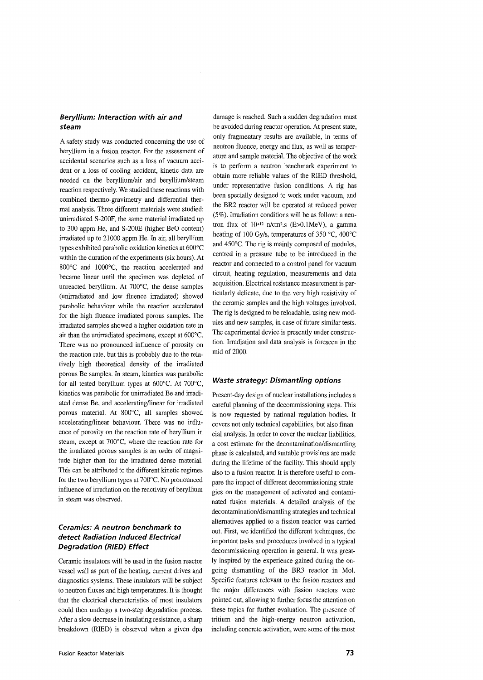# Beryllium: Interaction with air and steam

A safety study was conducted concerning the use of beryllium in a fusion reactor. For the assessment of accidental scenarios such as a loss of vacuum accident or a loss of cooling accident, kinetic data are needed on the beryllium/air and beryllium/steam reaction respectively. We studied these reactions with combined thermo-gravimetry and differential thermal analysis. Three different materials were studied: unirradiated S-200F, the same material irradiated up to 300 appm He, and S-200E (higher BeO content) irradiated up to 21000 appm He. In air, all beryllium types exhibited parabolic oxidation kinetics at  $600^{\circ}$ C within the duration of the experiments (six hours). At 800°C and 1000°C, the reaction accelerated and became linear until the specimen was depleted of unreacted beryllium. At 700°C, the dense samples (unirradiated and low fluence irradiated) showed parabolic behaviour while the reaction accelerated for the high fluence irradiated porous samples. The irradiated samples showed a higher oxidation rate in air than the unirradiated specimens, except at 600°C. There was no pronounced influence of porosity on the reaction rate, but this is probably due to the relatively high theoretical density of the irradiated porous Be samples. In steam, kinetics was parabolic for all tested beryllium types at 600°C. At 700°C, kinetics was parabolic for unirradiated Be and irradiated dense Be, and accelerating/linear for irradiated ally dense be, and accelerating initial for inautated  $\mu$ orous material. The object, an samples showed accelerating/linear behaviour. There was no influence of porosity on the reaction rate of beryllium in steam, except at  $700^{\circ}$ C, where the reaction rate for the irradiated porous samples is an order of magnitude higher than for the irradiated dense material. This can be attributed to the different kinetic regimes for the two beryllium types at  $700^{\circ}$ C. No pronounced in fluence of irradiation on the reactivity of beryllium<br>in steam was observed.

# Ceramics: A neutron benchmark to detect Radiation Induced Electrical Degradation (RIED) Effect

Ceramic insulators will be used in the fusion reactor vessel wall as part of the heating, current drives and diagnostics systems. These insulators will be subject to neutron fluxes and high temperatures. It is thought that the electrical characteristics of most insulators could then undergo a two-step degradation process. After a slow decrease in insulating resistance, a sharp breakdown (RIED) is observed when a given dpa

damage is reached. Such a sudden degradation must be avoided during reactor operation. At present state, only fragmentary results are available, in terms of neutron fluence, energy and flux, as well as temperature and sample material. The objective of the work is to perform a neutron benchmark experiment to obtain more reliable values of the RIED threshold, under representative fusion conditions. A rig has been specially designed to work under vacuum, and the BR2 reactor will be operated at reduced power (5%). Irradiation conditions will be as follow: a neutron flux of  $10^{+12}$  n/cm<sup>2</sup>.s (E>0.1MeV), a gamma heating of 100 Gy/s, temperatures of 350 °C, 400°C and 450°C. The rig is mainly composed of modules, centred in a pressure tube to be introduced in the reactor and connected to a control panel for vacuum circuit, heating regulation, measurements and data acquisition. Electrical resistance measurement is particularly delicate, due to the very high resistivity of the ceramic samples and the high voltages involved. The rig is designed to be reloadable, using new modules and new samples, in case of future similar tests. The experimental device is presently under construction. Irradiation and data analysis is foreseen in the mid of 2000.

### Waste strategy: Dismantling options

Present-day design of nuclear installations includes a careful planning of the decommissioning steps. This is now requested by national regulation bodies. It covers not only technical capabilities, but also financial analysis. In order to cover the nuclear liabilities, a cost estimate for the decontamination/dismantling phase is calculated, and suitable provisions are made during the lifetime of the facility. This should apply also to a fusion reactor. It is therefore useful to compare the impact of different decommissioning strategies on the management of activated and contaminated fusion materials. A detailed analysis of the decontamination/dismantling strategies and technical alternatives applied to a fission reactor was carried out. First, we identified the different techniques, the important tasks and procedures involved in a typical decommissioning operation in general. It was greatly inspired by the experience gained during the ongoing dismantling of the BR3 reactor in Mol. Specific features relevant to the fusion reactors and the major differences with fission reactors were pointed out, allowing to further focus the attention on these topics for further evaluation. The presence of tritium and the high-energy neutron activation, including concrete activation, were some of the most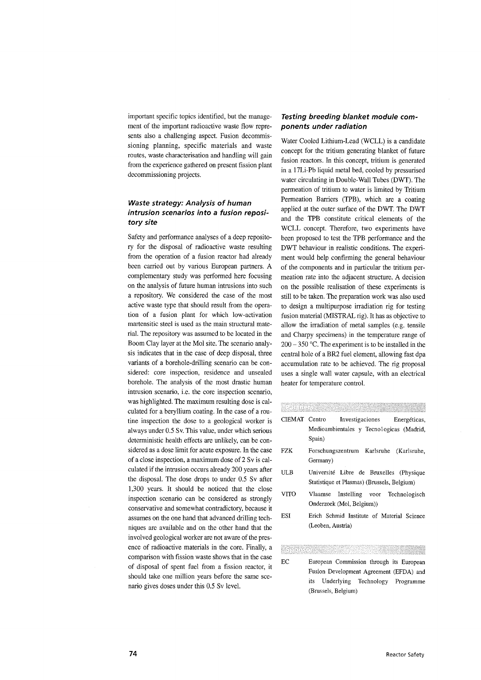important specific topics identified, but the management of the important radioactive waste flow represents also a challenging aspect. Fusion decommissioning planning, specific materials and waste routes, waste characterisation and handling will gain from the experience gathered on present fission plant decommissioning projects.

# Waste strategy: Analysis of human intrusion scenarios into a fusion repository site

Safety and performance analyses of a deep repository for the disposal of radioactive waste resulting from the operation of a fusion reactor had already been carried out by various European partners. A complementary study was performed here focusing on the analysis of future human intrusions into such a repository. We considered the case of the most active waste type that should result from the operation of a fusion plant for which low-activation martensitic steel is used as the main structural material. The repository was assumed to be located in the Boom Clay layer at the Mol site. The scenario analysis indicates that in the case of deep disposal, three variants of a borehole-drilling scenario can be considered: core inspection, residence and unsealed borehole. The analysis of the most drastic human intrusion scenario, i.e. the core inspection scenario, was highlighted. The maximum resulting dose is calculated for a beryllium coating. In the case of a routine inspection the dose to a geological worker is always under 0.5 Sv. This value, under which serious deterministic health effects are unlikely, can be considered as a dose limit for acute exposure. In the case of a close inspection, a maximum dose of  $2 Sv$  is calculated if the intrusion occurs already 200 years after the disposal. The dose drops to under 0.5 Sv after 1,300 years. It should be noticed that the close inspection scenario can be considered as strongly conservative and somewhat contradictory, because it assumes on the one hand that advanced drilling techniques are available and on the other hand that the inques are available and on the other hand that the  $\frac{1}{2}$  involved geological worker are not aware of the presence of radioactive materials in the core. Finally, a comparison with fission waste shows that in the case of disposal of spent fuel from a fission reactor, it should take one million years before the same scenario gives doses under this 0.5 Sv level.

# Testing breeding blanket module components under radiation

Water Cooled Lithium-Lead (WCLL) is a candidate concept for the tritium generating blanket of future fusion reactors. In this concept, tritium is generated in a 17Li-Pb liquid metal bed, cooled by pressurised water circulating in Double-Wall Tubes (DWT). The permeation of tritium to water is limited by Tritium Permeation Barriers (TPB), which are a coating applied at the outer surface of the DWT. The DWT and the TPB constitute critical elements of the WCLL concept. Therefore, two experiments have been proposed to test the TPB performance and the DWT behaviour in realistic conditions. The experiment would help confirming the general behaviour of the components and in particular the tritium permeation rate into the adjacent structure. A decision on the possible realisation of these experiments is still to be taken. The preparation work was also used to design a multipurpose irradiation rig for testing fusion material (MISTRAL rig). It has as objective to allow the irradiation of metal samples (e.g. tensile and Charpy specimens) in the temperature range of  $200 - 350$  °C. The experiment is to be installed in the central hole of a BR2 fuel element, allowing fast dpa accumulation rate to be achieved. The rig proposal uses a single wall water capsule, with an electrical heater for temperature control.

- CIEMAT Centro Investigaciones Energeticas, Medioambientales y Tecnologicas (Madrid, Spain)
- FZK Forschungszentrum Karlsruhe (Karlsruhe, Germany)
- ULB Universite Libre de Bruxelles (Physique Statistique et Plasmas) (Brussels, Belgium)
- VITO Vlaamse Instelling voor Technologisch Onderzoek (Mol, Belgium))
- ESI Erich Schmid Institute of Material Science (Leoben, Austria)

#### Wana ya Mko

EC European Commission through its European Fusion Development Agreement (EFDA) and its Underlying Technology Programme (Brussels, Belgium)